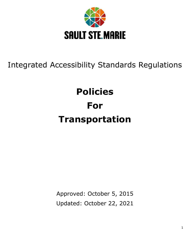

## Integrated Accessibility Standards Regulations

# **Policies For Transportation**

Approved: October 5, 2015 Updated: October 22, 2021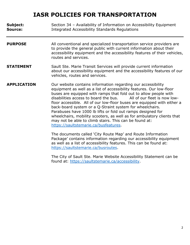| Subject:<br><b>Source:</b> | Section 34 - Availability of Information on Accessibility Equipment<br>Integrated Accessibility Standards Regulations                                                                                                                                                                                                                                                                                                                                                                                                                                                                                                                                                                                                               |
|----------------------------|-------------------------------------------------------------------------------------------------------------------------------------------------------------------------------------------------------------------------------------------------------------------------------------------------------------------------------------------------------------------------------------------------------------------------------------------------------------------------------------------------------------------------------------------------------------------------------------------------------------------------------------------------------------------------------------------------------------------------------------|
| <b>PURPOSE</b>             | All conventional and specialized transportation service providers are<br>to provide the general public with current information about their<br>accessibility equipment and the accessibility features of their vehicles,<br>routes and services.                                                                                                                                                                                                                                                                                                                                                                                                                                                                                    |
| <b>STATEMENT</b>           | Sault Ste. Marie Transit Services will provide current information<br>about our accessibility equipment and the accessibility features of our<br>vehicles, routes and services.                                                                                                                                                                                                                                                                                                                                                                                                                                                                                                                                                     |
| <b>APPLICATION</b>         | Our website contains information regarding our accessibility<br>equipment as well as a list of accessibility features. Our low-floor<br>buses are equipped with ramps that fold out to allow people with<br>disabilities access to board the bus.<br>All of our fleet is now low-<br>floor accessible. All of our low-floor buses are equipped with either a<br>back-board system or a Q-Straint system for wheelchairs.<br>Parabuses have 1000 lb lifts or fold out ramps designed for<br>wheelchairs, mobility scooters, as well as for ambulatory clients that<br>may not be able to climb stairs. This can be found at:<br>https://saultstemarie.ca/busfeatures.<br>The documents called 'City Route Map' and Route Information |
|                            | Package' contains information regarding our accessibility equipment<br>as well as a list of accessibility features. This can be found at:                                                                                                                                                                                                                                                                                                                                                                                                                                                                                                                                                                                           |

[https://saultstemarie.ca/busroutes.](https://saultstemarie.ca/busroutes)

The City of Sault Ste. Marie Website Accessibility Statement can be found at: [https://saultstemarie.ca/accessibility.](https://saultstemarie.ca/accessibility)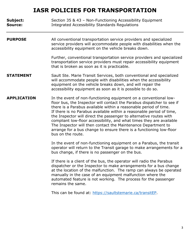| Subject:<br>Source: | Section 35 & 43 - Non-Functioning Accessibility Equipment<br><b>Integrated Accessibility Standards Regulations</b>                                                                                                                                                                                                                                                                                                                                                                                                                                                                                |
|---------------------|---------------------------------------------------------------------------------------------------------------------------------------------------------------------------------------------------------------------------------------------------------------------------------------------------------------------------------------------------------------------------------------------------------------------------------------------------------------------------------------------------------------------------------------------------------------------------------------------------|
| <b>PURPOSE</b>      | All conventional transportation service providers and specialized<br>service providers will accommodate people with disabilities when the<br>accessibility equipment on the vehicle breaks down.                                                                                                                                                                                                                                                                                                                                                                                                  |
|                     | Further, conventional transportation service providers and specialized<br>transportation service providers must repair accessibility equipment<br>that is broken as soon as it is practicable.                                                                                                                                                                                                                                                                                                                                                                                                    |
| <b>STATEMENT</b>    | Sault Ste. Marie Transit Services, both conventional and specialized<br>will accommodate people with disabilities when the accessibility<br>equipment on the vehicle breaks down, and will repair the<br>accessibility equipment as soon as it is possible to do so.                                                                                                                                                                                                                                                                                                                              |
| <b>APPLICATION</b>  | In the event of non-functioning equipment on a conventional low-<br>floor bus, the Inspector will contact the Parabus dispatcher to see if<br>there is a Parabus available within a reasonable period of time.<br>If there is no Parabus available within a reasonable period of time,<br>the Inspector will direct the passenger to alternative routes with<br>compliant low-floor accessibility, and what times they are available<br>The Inspector will then contact the Maintenance Department to<br>arrange for a bus change to ensure there is a functioning low-floor<br>bus on the route. |
|                     | In the event of non-functioning equipment on a Parabus, the transit<br>operator will return to the Transit garage to make arrangements for a<br>bus change, if there is no passenger on the bus.                                                                                                                                                                                                                                                                                                                                                                                                  |
|                     | If there is a client of the bus, the operator will radio the Parabus                                                                                                                                                                                                                                                                                                                                                                                                                                                                                                                              |

dispatcher or the Inspector to make arrangements for a bus change at the location of the malfunction. The ramp can always be operated manually in the case of an equipment malfunction where the automated feature is not working. The process for the passenger remains the same.

This can be found at: [https://saultstemarie.ca/transitEP.](https://saultstemarie.ca/transitEP)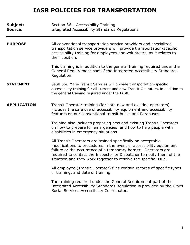| Subject:<br><b>Source:</b> | Section 36 - Accessibility Training<br><b>Integrated Accessibility Standards Regulations</b>                                                                                                                                                                                                                                                      |
|----------------------------|---------------------------------------------------------------------------------------------------------------------------------------------------------------------------------------------------------------------------------------------------------------------------------------------------------------------------------------------------|
| <b>PURPOSE</b>             | All conventional transportation service providers and specialized<br>transportation service providers will provide transportation-specific<br>accessibility training for employees and volunteers, as it relates to<br>their position.                                                                                                            |
|                            | This training is in addition to the general training required under the<br>General Requirement part of the Integrated Accessibility Standards<br>Regulation.                                                                                                                                                                                      |
| <b>STATEMENT</b>           | Sault Ste. Marie Transit Services will provide transportation-specific<br>accessibility training for all current and new Transit Operators, in addition to<br>the general training required under the IASR.                                                                                                                                       |
| <b>APPLICATION</b>         | Transit Operator training (for both new and existing operators)<br>includes the safe use of accessibility equipment and accessibility<br>features on our conventional transit buses and Parabuses.                                                                                                                                                |
|                            | Training also includes preparing new and existing Transit Operators<br>on how to prepare for emergencies, and how to help people with<br>disabilities in emergency situations.                                                                                                                                                                    |
|                            | All Transit Operators are trained specifically on acceptable<br>modifications to procedures in the event of accessibility equipment<br>failure or the occurrence of a temporary barrier. Operators are<br>required to contact the Inspector or Dispatcher to notify them of the<br>situation and they work together to resolve the specific issue |
|                            | All employee (Transit Operator) files contain records of specific types<br>of training, and date of training.                                                                                                                                                                                                                                     |
|                            | The training required under the General Requirement part of the<br>Integrated Accessibility Standards Regulation is provided by the City's<br>Social Services Accessibility Coordinator.                                                                                                                                                          |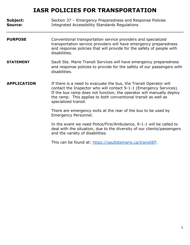| Subject:<br>Source: | Section 37 - Emergency Preparedness and Response Policies<br><b>Integrated Accessibility Standards Regulations</b>                                                                                                                                                                                        |
|---------------------|-----------------------------------------------------------------------------------------------------------------------------------------------------------------------------------------------------------------------------------------------------------------------------------------------------------|
| <b>PURPOSE</b>      | Conventional transportation service providers and specialized<br>transportation service providers will have emergency preparedness<br>and response policies that will provide for the safety of people with<br>disabilities.                                                                              |
| <b>STATEMENT</b>    | Sault Ste. Marie Transit Services will have emergency preparedness<br>and response policies to provide for the safety of our passengers with<br>disabilities.                                                                                                                                             |
| <b>APPLICATION</b>  | If there is a need to evacuate the bus, the Transit Operator will<br>contact the Inspector who will contact 9-1-1 (Emergency Services).<br>If the bus ramp does not function, the operator will manually deploy<br>the ramp. This applies to both conventional transit as well as<br>specialized transit. |
|                     | There are emergency exits at the rear of the bus to be used by<br>Emergency Personnel.                                                                                                                                                                                                                    |
|                     | In the event we need Police/Fire/Ambulance, 9-1-1 will be called to<br>deal with the situation, due to the diversity of our clients/passengers<br>and the variety of disabilities.                                                                                                                        |
|                     | This can be found at: https://saultstemarie.ca/transitEP.                                                                                                                                                                                                                                                 |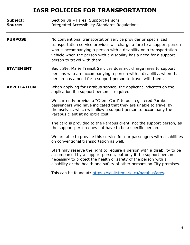**Subject:** Section 38 – Fares, Support Persons **Source:** Integrated Accessibility Standards Regulations

- **PURPOSE** No conventional transportation service provider or specialized transportation service provider will charge a fare to a support person who is accompanying a person with a disability on a transportation vehicle when the person with a disability has a need for a support person to travel with them.
- **STATEMENT** Sault Ste. Marie Transit Services does not charge fares to support persons who are accompanying a person with a disability, when that person has a need for a support person to travel with them.

#### **APPLICATION** When applying for Parabus service, the applicant indicates on the application if a support person is required.

We currently provide a "Client Card" to our registered Parabus passengers who have indicated that they are unable to travel by themselves, which will allow a support person to accompany the Parabus client at no extra cost.

The card is provided to the Parabus client, not the support person, as the support person does not have to be a specific person.

We are able to provide this service for our passengers with disabilities on conventional transportation as well.

Staff may reserve the right to require a person with a disability to be accompanied by a support person, but only if the support person is necessary to protect the health or safety of the person with a disability or the health and safety of other persons on City premises.

This can be found at: [https://saultstemarie.ca/parabusfares.](https://saultstemarie.ca/parabusfares)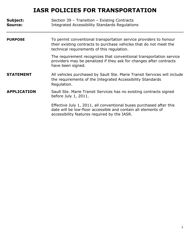| Subject:<br>Source: | Section 39 - Transition - Existing Contracts<br><b>Integrated Accessibility Standards Regulations</b>                                                                                 |
|---------------------|---------------------------------------------------------------------------------------------------------------------------------------------------------------------------------------|
| <b>PURPOSE</b>      | To permit conventional transportation service providers to honour<br>their existing contracts to purchase vehicles that do not meet the<br>technical requirements of this regulation. |
|                     | The requirement recognizes that conventional transportation service<br>providers may be penalized if they ask for changes after contracts<br>have been signed.                        |
| <b>STATEMENT</b>    | All vehicles purchased by Sault Ste. Marie Transit Services will include<br>the requirements of the Integrated Accessibility Standards<br>Regulation.                                 |
| <b>APPLICATION</b>  | Sault Ste. Marie Transit Services has no existing contracts signed<br>before July 1, 2011.                                                                                            |
|                     | Effective July 1, 2011, all conventional buses purchased after this<br>date will be low-floor accessible and contain all elements of<br>accessibility features required by the IASR.  |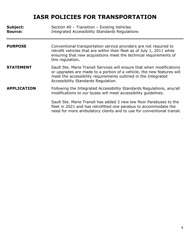| Subject:<br><b>Source:</b> | Section 40 - Transition - Existing Vehicles<br><b>Integrated Accessibility Standards Regulations</b>                                                                                                                                                    |
|----------------------------|---------------------------------------------------------------------------------------------------------------------------------------------------------------------------------------------------------------------------------------------------------|
| <b>PURPOSE</b>             | Conventional transportation service providers are not required to<br>retrofit vehicles that are within their fleet as of July 1, 2011 while<br>ensuring that new acquisitions meet the technical requirements of<br>this regulation.                    |
| <b>STATEMENT</b>           | Sault Ste. Marie Transit Services will ensure that when modifications<br>or upgrades are made to a portion of a vehicle, the new features will<br>meet the accessibility requirements outlined in the Integrated<br>Accessibility Standards Regulation. |
| <b>APPLICATION</b>         | Following the Integrated Accessibility Standards Regulations, any/all<br>modifications to our buses will meet accessibility quidelines.                                                                                                                 |
|                            | Sault Ste. Marie Transit has added 2 new low floor Parabuses to the<br>fleet in 2021 and has retrofitted one parabus to accommodate the<br>need for more ambulatory clients and to use for conventional transit.                                        |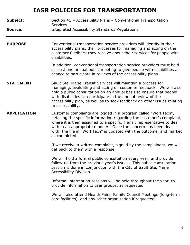| Subject:<br>Source: | Section 41 - Accessibility Plans - Conventional Transportation<br><b>Services</b><br>Integrated Accessibility Standards Regulations                                                                                                                                                                                                                                           |
|---------------------|-------------------------------------------------------------------------------------------------------------------------------------------------------------------------------------------------------------------------------------------------------------------------------------------------------------------------------------------------------------------------------|
| <b>PURPOSE</b>      | Conventional transportation service providers will identify in their<br>accessibility plans, their processes for managing and acting on the<br>customer feedback they receive about their services for people with<br>disabilities.                                                                                                                                           |
|                     | In addition, conventional transportation service providers must hold<br>at least one annual public meeting to give people with disabilities a<br>chance to participate in reviews of the accessibility plans.                                                                                                                                                                 |
| <b>STATEMENT</b>    | Sault Ste. Marie Transit Services will maintain a process for<br>managing, evaluating and acting on customer feedback. We will also<br>hold a public consultation on an annual basis to ensure that people<br>with disabilities can participate in the annual review of the<br>accessibility plan, as well as to seek feedback on other issues relating<br>to accessibility.  |
| <b>APPLICATION</b>  | Customer complaints are logged in a program called "WorkTech",<br>detailing the specific information regarding the customer's complaint,<br>where it is then assigned to a specific Transit representative to deal<br>with in an appropriate manner. Once the concern has been dealt<br>with, the file in "WorkTech" is updated with the outcome, and marked<br>as completed. |
|                     | If we receive a written complaint, signed by the complainant, we will<br>get back to them with a response.                                                                                                                                                                                                                                                                    |
|                     | We will hold a formal public consultation every year, and provide<br>follow-up from the previous year's issues. This public consultation<br>session is done in conjunction with the City of Sault Ste. Marie<br>Accessibility Division.                                                                                                                                       |
|                     | Informal information sessions will be held throughout the year, to<br>provide information to user groups, as requested.                                                                                                                                                                                                                                                       |
|                     | We will also attend Health Fairs, Family Council Meetings (long-term<br>care facilities), and any other organization if requested.                                                                                                                                                                                                                                            |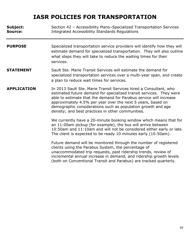| Subject:<br>Source: | Section 42 - Accessibility Plans-Specialized Transportation Services<br><b>Integrated Accessibility Standards Regulations</b>                                                                                                                                                                                                                                                                      |
|---------------------|----------------------------------------------------------------------------------------------------------------------------------------------------------------------------------------------------------------------------------------------------------------------------------------------------------------------------------------------------------------------------------------------------|
| <b>PURPOSE</b>      | Specialized transportation service providers will identify how they will<br>estimate demand for specialized transportation. They will also outline<br>what steps they will take to reduce the waiting times for their<br>services.                                                                                                                                                                 |
| <b>STATEMENT</b>    | Sault Ste. Marie Transit Services will estimate the demand for<br>specialized transportation services over a multi-year span, and create<br>a plan to reduce wait times for services.                                                                                                                                                                                                              |
| <b>APPLICATION</b>  | In 2013 Sault Ste. Marie Transit Services hired a Consultant, who<br>estimated future demand for specialized transit services. They were<br>able to estimate that the demand for Parabus service will increase<br>approximately 4.5% per year over the next 5 years, based on<br>demographic considerations such as population growth and age<br>density; and best practices in other communities. |
|                     | We currently have a 20-minute booking window which means that for<br>an 11:00am pickup (for example), the bus will arrive between<br>10:50am and 11:10am and will not be considered either early or late.<br>The client is expected to be ready 10 minutes early (10:50am).                                                                                                                        |
|                     | Future demand will be monitored through the number of registered<br>clients using the Parabus System, the percentage of<br>unaccommodated trip requests, past ridership trends, review of<br>incremental annual increase in demand, and ridership growth levels                                                                                                                                    |

(both on Conventional Transit and Parabus) are tracked quarterly.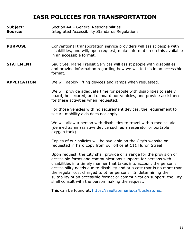| Subject:<br><b>Source:</b> | Section 44 - General Responsibilities<br>Integrated Accessibility Standards Regulations                                                                                                                                                                                                                                                                                                                                                                                                   |
|----------------------------|-------------------------------------------------------------------------------------------------------------------------------------------------------------------------------------------------------------------------------------------------------------------------------------------------------------------------------------------------------------------------------------------------------------------------------------------------------------------------------------------|
| <b>PURPOSE</b>             | Conventional transportation service providers will assist people with<br>disabilities, and will, upon request, make information on this available<br>in an accessible format.                                                                                                                                                                                                                                                                                                             |
| <b>STATEMENT</b>           | Sault Ste. Marie Transit Services will assist people with disabilities,<br>and provide information regarding how we will to this in an accessible<br>format.                                                                                                                                                                                                                                                                                                                              |
| <b>APPLICATION</b>         | We will deploy lifting devices and ramps when requested.                                                                                                                                                                                                                                                                                                                                                                                                                                  |
|                            | We will provide adequate time for people with disabilities to safely<br>board, be secured, and deboard our vehicles, and provide assistance<br>for these activities when requested.                                                                                                                                                                                                                                                                                                       |
|                            | For those vehicles with no securement devices, the requirement to<br>secure mobility aids does not apply.                                                                                                                                                                                                                                                                                                                                                                                 |
|                            | We will allow a person with disabilities to travel with a medical aid<br>(defined as an assistive device such as a respirator or portable<br>oxygen tank).                                                                                                                                                                                                                                                                                                                                |
|                            | Copies of our policies will be available on the City's website or<br>requested in hard copy from our office at 111 Huron Street.                                                                                                                                                                                                                                                                                                                                                          |
|                            | Upon request, the City shall provide or arrange for the provision of<br>accessible forms and communications supports for persons with<br>disabilities in a timely manner that takes into account the person's<br>accessibility needs due to disability and at a cost that is no more than<br>the regular cost charged to other persons. In determining the<br>suitability of an accessible format or communication support, the City<br>shall consult with the person making the request. |
|                            | This can be found at: https://saultstemarie.ca/busfeatures.                                                                                                                                                                                                                                                                                                                                                                                                                               |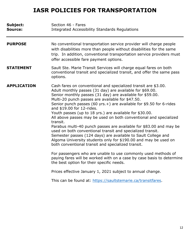| Subject:<br>Source: | Section 46 - Fares<br><b>Integrated Accessibility Standards Regulations</b>                                                                                                                                                                                                                                                                                                                                                                                                                                                                                                                                                                                                                                                                                                                                                 |
|---------------------|-----------------------------------------------------------------------------------------------------------------------------------------------------------------------------------------------------------------------------------------------------------------------------------------------------------------------------------------------------------------------------------------------------------------------------------------------------------------------------------------------------------------------------------------------------------------------------------------------------------------------------------------------------------------------------------------------------------------------------------------------------------------------------------------------------------------------------|
| <b>PURPOSE</b>      | No conventional transportation service provider will charge people<br>with disabilities more than people without disabilities for the same<br>trip. In addition, conventional transportation service providers must<br>offer accessible fare payment options.                                                                                                                                                                                                                                                                                                                                                                                                                                                                                                                                                               |
| <b>STATEMENT</b>    | Sault Ste. Marie Transit Services will charge equal fares on both<br>conventional transit and specialized transit, and offer the same pass<br>options.                                                                                                                                                                                                                                                                                                                                                                                                                                                                                                                                                                                                                                                                      |
| <b>APPLICATION</b>  | Cash fares on conventional and specialized transit are \$3.00.<br>Adult monthly passes (31 day) are available for \$69.00.<br>Senior monthly passes (31 day) are available for \$59.00.<br>Multi-20 punch passes are available for \$47.50.<br>Senior punch passes (60 yrs. +) are available for $$9.50$ for 6-rides<br>and \$19.00 for 12-rides.<br>Youth passes (up to 18 yrs.) are available for \$30.00.<br>All above passes may be used on both conventional and specialized<br>transit.<br>Parabus multi-40 punch passes are available for \$83.00 and may be<br>used on both conventional transit and specialized transit.<br>Semester passes (124 days) are available to Sault College and<br>Algoma University students only for \$190.00 and may be used on<br>both conventional transit and specialized transit. |
|                     | For passengers who are unable to use commonly used methods of<br>paying fares will be worked with on a case by case basis to determine<br>the best option for their specific needs.                                                                                                                                                                                                                                                                                                                                                                                                                                                                                                                                                                                                                                         |
|                     | Prices effective January 1, 2021 subject to annual change.                                                                                                                                                                                                                                                                                                                                                                                                                                                                                                                                                                                                                                                                                                                                                                  |
|                     | This can be found at: https://saultstemarie.ca/transitfares.                                                                                                                                                                                                                                                                                                                                                                                                                                                                                                                                                                                                                                                                                                                                                                |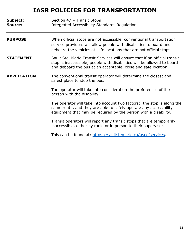| Subject:<br>Source: | Section 47 - Transit Stops<br><b>Integrated Accessibility Standards Regulations</b>                                                                                                                                    |
|---------------------|------------------------------------------------------------------------------------------------------------------------------------------------------------------------------------------------------------------------|
| <b>PURPOSE</b>      | When official stops are not accessible, conventional transportation<br>service providers will allow people with disabilities to board and<br>deboard the vehicles at safe locations that are not official stops.       |
| <b>STATEMENT</b>    | Sault Ste. Marie Transit Services will ensure that if an official transit<br>stop is inaccessible, people with disabilities will be allowed to board<br>and deboard the bus at an acceptable, close and safe location. |
| <b>APPLICATION</b>  | The conventional transit operator will determine the closest and<br>safest place to stop the bus.                                                                                                                      |
|                     | The operator will take into consideration the preferences of the<br>person with the disability.                                                                                                                        |
|                     | The operator will take into account two factors: the stop is along the<br>same route, and they are able to safely operate any accessibility<br>equipment that may be required by the person with a disability.         |
|                     | Transit operators will report any transit stops that are temporarily<br>inaccessible, either by radio or in person to their supervisor.                                                                                |
|                     | This can be found at: https://saultstemarie.ca/useofservices.                                                                                                                                                          |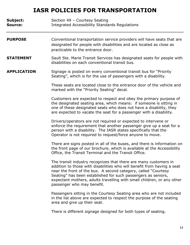| Subject:<br>Source: | Section 49 - Courtesy Seating<br><b>Integrated Accessibility Standards Regulations</b>                                                                                                                                                                                                                                                                                                 |
|---------------------|----------------------------------------------------------------------------------------------------------------------------------------------------------------------------------------------------------------------------------------------------------------------------------------------------------------------------------------------------------------------------------------|
| <b>PURPOSE</b>      | Conventional transportation service providers will have seats that are<br>designated for people with disabilities and are located as close as<br>practicable to the entrance door.                                                                                                                                                                                                     |
| <b>STATEMENT</b>    | Sault Ste. Marie Transit Services has designated seats for people with<br>disabilities on each conventional transit bus.                                                                                                                                                                                                                                                               |
| <b>APPLICATION</b>  | Signage is posted on every conventional transit bus for "Priority"<br>Seating", which is for the use of passengers with a disability.                                                                                                                                                                                                                                                  |
|                     | These seats are located close to the entrance door of the vehicle and<br>marked with the "Priority Seating" decal.                                                                                                                                                                                                                                                                     |
|                     | Customers are expected to respect and obey the primary purpose of<br>the designated seating area, which means: if someone is sitting in<br>one of these designated seats who does not have a disability, they<br>are expected to vacate the seat for a passenger with a disability.                                                                                                    |
|                     | Drivers/operators are not required or expected to intervene or<br>enforce the requirement that another passenger give up a seat for a<br>person with a disability. The IASR states specifically that the<br>Operator is not required to request/force anyone to move.                                                                                                                  |
|                     | There are signs posted in all of the buses, and there is information on<br>the front page of our brochure, which is available at the Accessibility<br>Office, the Transit Terminal and the Transit Office.                                                                                                                                                                             |
|                     | The transit industry recognizes that there are many customers in<br>addition to those with disabilities who will benefit from having a seat<br>near the front of the bus. A second category, called "Courtesy<br>Seating" has been established for such passengers as seniors,<br>expectant mothers, adults travelling with small children, or any other<br>passenger who may benefit. |
|                     | Passengers sitting in the Courtesy Seating area who are not included<br>in the list above are expected to respect the purpose of the seating<br>area and give up their seat.                                                                                                                                                                                                           |
|                     | There is different signage designed for both types of seating.                                                                                                                                                                                                                                                                                                                         |
|                     |                                                                                                                                                                                                                                                                                                                                                                                        |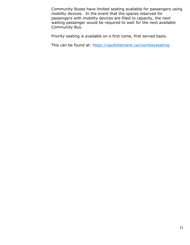Community Buses have limited seating available for passengers using mobility devices. In the event that the spaces reserved for passengers with mobility devices are filled to capacity, the next waiting passenger would be required to wait for the next available Community Bus.

Priority seating is available on a first come, first served basis.

This can be found at: [https://saultstemarie.ca/courtesyseating.](https://saultstemarie.ca/courtesyseating)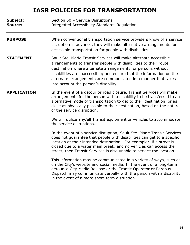**Subject:** Section 50 – Service Disruptions **Source:** Integrated Accessibility Standards Regulations

- **PURPOSE** When conventional transportation service providers know of a service disruption in advance, they will make alternative arrangements for accessible transportation for people with disabilities.
- **STATEMENT** Sault Ste. Marie Transit Services will make alternate accessible arrangements to transfer people with disabilities to their route destination where alternate arrangements for persons without disabilities are inaccessible; and ensure that the information on the alternate arrangements are communicated in a manner that takes into account the person's disability.
- **APPLICATION** In the event of a detour or road closure, Transit Services will make arrangements for the person with a disability to be transferred to an alternative mode of transportation to get to their destination, or as close as physically possible to their destination, based on the nature of the service disruption.

We will utilize any/all Transit equipment or vehicles to accommodate the service disruptions.

In the event of a service disruption, Sault Ste. Marie Transit Services does not guarantee that people with disabilities can get to a specific location at their intended destination. For example: if a street is closed due to a water main break, and no vehicles can access the street, then Transit Services is also unable to service the location.

This information may be communicated in a variety of ways, such as on the City's website and social media. In the event of a long-term detour, a City Media Release or the Transit Operator or Parabus Dispatch may communicate verbally with the person with a disability in the event of a more short-term disruption.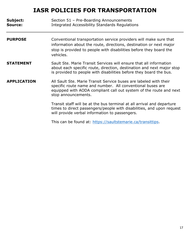| Subject:<br><b>Source:</b> | Section 51 - Pre-Boarding Announcements<br><b>Integrated Accessibility Standards Regulations</b>                                                                                                                             |
|----------------------------|------------------------------------------------------------------------------------------------------------------------------------------------------------------------------------------------------------------------------|
| <b>PURPOSE</b>             | Conventional transportation service providers will make sure that<br>information about the route, directions, destination or next major<br>stop is provided to people with disabilities before they board the<br>vehicles.   |
| <b>STATEMENT</b>           | Sault Ste. Marie Transit Services will ensure that all information<br>about each specific route, direction, destination and next major stop<br>is provided to people with disabilities before they board the bus.            |
| <b>APPLICATION</b>         | All Sault Ste. Marie Transit Service buses are labeled with their<br>specific route name and number. All conventional buses are<br>equipped with AODA compliant call out system of the route and next<br>stop announcements. |
|                            | Transit staff will be at the bus terminal at all arrival and departure<br>times to direct passengers/people with disabilities, and upon request<br>will provide verbal information to passengers.                            |
|                            | This can be found at: https://saultstemarie.ca/transittips.                                                                                                                                                                  |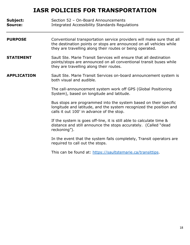| Subject:<br><b>Source:</b> | Section 52 - On-Board Announcements<br><b>Integrated Accessibility Standards Regulations</b>                                                                                                              |
|----------------------------|-----------------------------------------------------------------------------------------------------------------------------------------------------------------------------------------------------------|
| <b>PURPOSE</b>             | Conventional transportation service providers will make sure that all<br>the destination points or stops are announced on all vehicles while<br>they are travelling along their routes or being operated. |
| <b>STATEMENT</b>           | Sault Ste. Marie Transit Services will ensure that all destination<br>points/stops are announced on all conventional transit buses while<br>they are travelling along their routes.                       |
| <b>APPLICATION</b>         | Sault Ste. Marie Transit Services on-board announcement system is<br>both visual and audible.                                                                                                             |
|                            | The call-announcement system work off GPS (Global Positioning<br>System), based on longitude and latitude.                                                                                                |
|                            | Bus stops are programmed into the system based on their specific<br>longitude and latitude, and the system recognized the position and<br>calls it out 100' in advance of the stop.                       |
|                            | If the system is goes off-line, it is still able to calculate time &<br>distance and still announce the stops accurately. (Called "dead<br>reckoning").                                                   |
|                            | In the event that the system fails completely, Transit operators are<br>required to call out the stops.                                                                                                   |
|                            | This can be found at: https://saultstemarie.ca/transittips.                                                                                                                                               |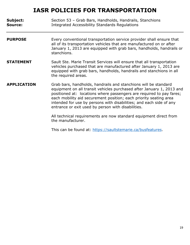| Subject:<br>Source: | Section 53 - Grab Bars, Handholds, Handrails, Stanchions<br><b>Integrated Accessibility Standards Regulations</b>                                                                                                                                                                                                                                                                                                                                                                       |
|---------------------|-----------------------------------------------------------------------------------------------------------------------------------------------------------------------------------------------------------------------------------------------------------------------------------------------------------------------------------------------------------------------------------------------------------------------------------------------------------------------------------------|
| <b>PURPOSE</b>      | Every conventional transportation service provider shall ensure that<br>all of its transportation vehicles that are manufactured on or after<br>January 1, 2013 are equipped with grab bars, handholds, handrails or<br>stanchions.                                                                                                                                                                                                                                                     |
| <b>STATEMENT</b>    | Sault Ste. Marie Transit Services will ensure that all transportation<br>vehicles purchased that are manufactured after January 1, 2013 are<br>equipped with grab bars, handholds, handrails and stanchions in all<br>the required areas.                                                                                                                                                                                                                                               |
| <b>APPLICATION</b>  | Grab bars, handholds, handrails and stanchions will be standard<br>equipment on all transit vehicles purchased after January 1, 2013 and<br>positioned at: locations where passengers are required to pay fares;<br>each mobility aid securement position; each priority seating area<br>intended for use by persons with disabilities; and each side of any<br>entrance or exit used by person with disabilities.<br>All technical requirements are now standard equipment direct from |
|                     | the manufacturer.                                                                                                                                                                                                                                                                                                                                                                                                                                                                       |

This can be found at: [https://saultstemarie.ca/busfeatures.](https://saultstemarie.ca/busfeatures)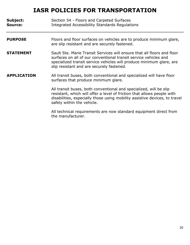| Subject:<br><b>Source:</b> | Section 54 - Floors and Carpeted Surfaces<br><b>Integrated Accessibility Standards Regulations</b>                                                                                                                                                               |
|----------------------------|------------------------------------------------------------------------------------------------------------------------------------------------------------------------------------------------------------------------------------------------------------------|
| <b>PURPOSE</b>             | Floors and floor surfaces on vehicles are to produce minimum glare,<br>are slip resistant and are securely fastened.                                                                                                                                             |
| <b>STATEMENT</b>           | Sault Ste. Marie Transit Services will ensure that all floors and floor<br>surfaces on all of our conventional transit service vehicles and<br>specialized transit service vehicles will produce minimum glare, are<br>slip resistant and are securely fastened. |
| <b>APPLICATION</b>         | All transit buses, both conventional and specialized will have floor<br>surfaces that produce minimum glare.                                                                                                                                                     |
|                            | All transit buses, both conventional and specialized, will be slip<br>resistant, which will offer a level of friction that allows people with<br>disabilities, especially those using mobility assistive devices, to travel<br>safely within the vehicle.        |
|                            | All technical requirements are now standard equipment direct from<br>the manufacturer.                                                                                                                                                                           |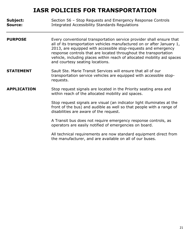| Subject:<br>Source: | Section 56 - Stop Requests and Emergency Response Controls<br><b>Integrated Accessibility Standards Regulations</b>                                                                                                                                                                                                                                                                                |
|---------------------|----------------------------------------------------------------------------------------------------------------------------------------------------------------------------------------------------------------------------------------------------------------------------------------------------------------------------------------------------------------------------------------------------|
| <b>PURPOSE</b>      | Every conventional transportation service provider shall ensure that<br>all of its transportation vehicles manufactured on or after January 1,<br>2013, are equipped with accessible stop-requests and emergency<br>response controls that are located throughout the transportation<br>vehicle, including places within reach of allocated mobility aid spaces<br>and courtesy seating locations. |
| <b>STATEMENT</b>    | Sault Ste. Marie Transit Services will ensure that all of our<br>transportation service vehicles are equipped with accessible stop-<br>requests.                                                                                                                                                                                                                                                   |
| <b>APPLICATION</b>  | Stop request signals are located in the Priority seating area and<br>within reach of the allocated mobility aid spaces.                                                                                                                                                                                                                                                                            |
|                     | Stop request signals are visual (an indicator light illuminates at the<br>front of the bus) and audible as well so that people with a range of<br>disabilities are aware of the request.                                                                                                                                                                                                           |
|                     | A Transit bus does not require emergency response controls, as<br>operators are easily notified of emergencies on board.                                                                                                                                                                                                                                                                           |
|                     | All technical requirements are now standard equipment direct from<br>the manufacturer, and are available on all of our buses.                                                                                                                                                                                                                                                                      |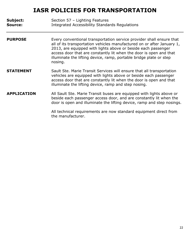| Subject:<br>Source: | Section 57 - Lighting Features<br><b>Integrated Accessibility Standards Regulations</b>                                                                                                                                                                                                                                                                                |
|---------------------|------------------------------------------------------------------------------------------------------------------------------------------------------------------------------------------------------------------------------------------------------------------------------------------------------------------------------------------------------------------------|
| <b>PURPOSE</b>      | Every conventional transportation service provider shall ensure that<br>all of its transportation vehicles manufactured on or after January 1,<br>2013, are equipped with lights above or beside each passenger<br>access door that are constantly lit when the door is open and that<br>illuminate the lifting device, ramp, portable bridge plate or step<br>nosing. |
| <b>STATEMENT</b>    | Sault Ste. Marie Transit Services will ensure that all transportation<br>vehicles are equipped with lights above or beside each passenger<br>access door that are constantly lit when the door is open and that<br>illuminate the lifting device, ramp and step nosing.                                                                                                |
| <b>APPLICATION</b>  | All Sault Ste. Marie Transit buses are equipped with lights above or<br>beside each passenger access door, and are constantly lit when the<br>door is open and illuminate the lifting device, ramp and step nosings.                                                                                                                                                   |
|                     | All technical requirements are now standard equipment direct from<br>the manufacturer.                                                                                                                                                                                                                                                                                 |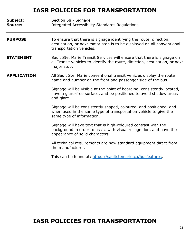**Subject:** Section 58 - Signage **Source:** Integrated Accessibility Standards Regulations

#### **PURPOSE** To ensure that there is signage identifying the route, direction, destination, or next major stop is to be displayed on all conventional transportation vehicles.

**STATEMENT** Sault Ste. Marie Transit Services will ensure that there is signage on all Transit vehicles to identify the route, direction, destination, or next major stop.

#### **APPLICATION** All Sault Ste. Marie conventional transit vehicles display the route name and number on the front and passenger side of the bus.

Signage will be visible at the point of boarding, consistently located, have a glare-free surface, and be positioned to avoid shadow areas and glare.

Signage will be consistently shaped, coloured, and positioned, and when used in the same type of transportation vehicle to give the same type of information.

Signage will have text that is high-coloured contrast with the background in order to assist with visual recognition, and have the appearance of solid characters.

All technical requirements are now standard equipment direct from the manufacturer.

This can be found at: [https://saultstemarie.ca/busfeatures.](https://saultstemarie.ca/busfeatures)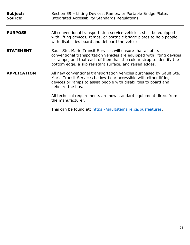| Subject:<br>Source: | Section 59 - Lifting Devices, Ramps, or Portable Bridge Plates<br><b>Integrated Accessibility Standards Regulations</b>                                                                                                                                                     |
|---------------------|-----------------------------------------------------------------------------------------------------------------------------------------------------------------------------------------------------------------------------------------------------------------------------|
| <b>PURPOSE</b>      | All conventional transportation service vehicles, shall be equipped<br>with lifting devices, ramps, or portable bridge plates to help people<br>with disabilities board and deboard the vehicles.                                                                           |
| <b>STATEMENT</b>    | Sault Ste. Marie Transit Services will ensure that all of its<br>conventional transportation vehicles are equipped with lifting devices<br>or ramps, and that each of them has the colour strop to identify the<br>bottom edge, a slip resistant surface, and raised edges. |
| <b>APPLICATION</b>  | All new conventional transportation vehicles purchased by Sault Ste.<br>Marie Transit Services be low-floor accessible with either lifting<br>devices or ramps to assist people with disabilities to board and<br>deboard the bus.                                          |
|                     | All technical requirements are now standard equipment direct from<br>the manufacturer.                                                                                                                                                                                      |
|                     | This can be found at: https://saultstemarie.ca/busfeatures.                                                                                                                                                                                                                 |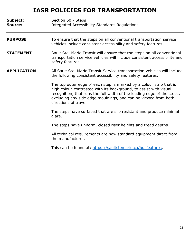| Subject:<br>Source: | Section 60 - Steps<br><b>Integrated Accessibility Standards Regulations</b>                                                                                                                                                                                                                                    |
|---------------------|----------------------------------------------------------------------------------------------------------------------------------------------------------------------------------------------------------------------------------------------------------------------------------------------------------------|
| <b>PURPOSE</b>      | To ensure that the steps on all conventional transportation service<br>vehicles include consistent accessibility and safety features.                                                                                                                                                                          |
| <b>STATEMENT</b>    | Sault Ste. Marie Transit will ensure that the steps on all conventional<br>transportation service vehicles will include consistent accessibility and<br>safety features.                                                                                                                                       |
| <b>APPLICATION</b>  | All Sault Ste. Marie Transit Service transportation vehicles will include<br>the following consistent accessibility and safety features:                                                                                                                                                                       |
|                     | The top outer edge of each step is marked by a colour strip that is<br>high colour-contrasted with its background, to assist with visual<br>recognition, that runs the full width of the leading edge of the steps,<br>excluding any side edge mouldings, and can be viewed from both<br>directions of travel. |
|                     | The steps have surfaced that are slip resistant and produce minimal<br>glare.                                                                                                                                                                                                                                  |
|                     | The steps have uniform, closed riser heights and tread depths.                                                                                                                                                                                                                                                 |
|                     | All technical requirements are now standard equipment direct from<br>the manufacturer.                                                                                                                                                                                                                         |
|                     | This can be found at: https://saultstemarie.ca/busfeatures.                                                                                                                                                                                                                                                    |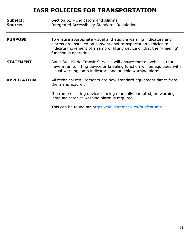| Subject:<br>Source: | Section 61 - Indicators and Alarms<br>Integrated Accessibility Standards Regulations                                                                                                                                                 |
|---------------------|--------------------------------------------------------------------------------------------------------------------------------------------------------------------------------------------------------------------------------------|
| <b>PURPOSE</b>      | To ensure appropriate visual and audible warning indicators and<br>alarms are installed on conventional transportation vehicles to<br>indicate movement of a ramp or lifting device or that the "kneeling"<br>function is operating. |
| <b>STATEMENT</b>    | Sault Ste. Marie Transit Services will ensure that all vehicles that<br>have a ramp, lifting device or kneeling function will be equipped with<br>visual warning lamp indicators and audible warning alarms.                         |
| <b>APPLICATION</b>  | All technical requirements are now standard equipment direct from<br>the manufacturer.                                                                                                                                               |
|                     | If a ramp or lifting device is being manually operated, no warning<br>lamp indicator or warning alarm is required.                                                                                                                   |
|                     | This can be found at: https://saultstemarie.ca/busfeatures.                                                                                                                                                                          |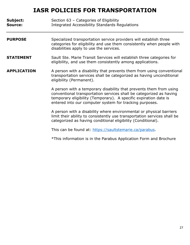| Subject:<br>Source: | Section 63 - Categories of Eligibility<br><b>Integrated Accessibility Standards Regulations</b>                                                                                                                                                                          |
|---------------------|--------------------------------------------------------------------------------------------------------------------------------------------------------------------------------------------------------------------------------------------------------------------------|
| <b>PURPOSE</b>      | Specialized transportation service providers will establish three<br>categories for eligibility and use them consistently when people with<br>disabilities apply to use the services.                                                                                    |
| <b>STATEMENT</b>    | Sault Ste. Marie Transit Services will establish three categories for<br>eligibility, and use them consistently among applications.                                                                                                                                      |
| <b>APPLICATION</b>  | A person with a disability that prevents them from using conventional<br>transportation services shall be categorized as having unconditional<br>eligibility (Permanent).                                                                                                |
|                     | A person with a temporary disability that prevents them from using<br>conventional transportation services shall be categorized as having<br>temporary eligibility (Temporary). A specific expiration date is<br>entered into our computer system for tracking purposes. |
|                     | A person with a disability where environmental or physical barriers<br>limit their ability to consistently use transportation services shall be<br>categorized as having conditional eligibility (Conditional).                                                          |
|                     | This can be found at: https://saultstemarie.ca/parabus.                                                                                                                                                                                                                  |

\*This information is in the Parabus Application Form and Brochure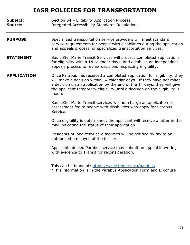| Subject:<br>Source: | Section 64 - Eligibility Application Process<br><b>Integrated Accessibility Standards Regulations</b>                                                                                                                                                                                                           |
|---------------------|-----------------------------------------------------------------------------------------------------------------------------------------------------------------------------------------------------------------------------------------------------------------------------------------------------------------|
| <b>PURPOSE</b>      | Specialized transportation service providers will meet standard<br>service requirements for people with disabilities during the application<br>and appeals process for specialized transportation services.                                                                                                     |
| <b>STATEMENT</b>    | Sault Ste. Marie Transit Services will process completed applications<br>for eligibility within 14 calendar days, and establish an independent<br>appeals process to review decisions respecting eligibility.                                                                                                   |
| <b>APPLICATION</b>  | Once Parabus has received a completed application for eligibility, they<br>will make a decision within 14 calendar days. If they have not made<br>a decision on an application by the end of the 14 days, they will give<br>the applicant temporary eligibility until a decision on the eligibility is<br>made. |
|                     | Sault Ste. Marie Transit services will not charge an application or<br>assessment fee to people with disabilities who apply for Parabus<br>Service.                                                                                                                                                             |
|                     | Once eligibility is determined, the applicant will receive a letter in the<br>mail indicating the status of their application.                                                                                                                                                                                  |
|                     | Residents of long-term care facilities will be notified by fax to an<br>authorized employee of the facility.                                                                                                                                                                                                    |
|                     | Applicants denied Parabus service may submit an appeal in writing<br>with evidence to Transit for reconsideration.                                                                                                                                                                                              |
|                     | This can be found at: https://saultstemarie.ca/parabus.<br>*This information is in the Parabus Application Form and Brochure                                                                                                                                                                                    |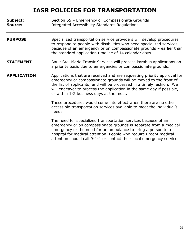| Subject:<br><b>Source:</b> | Section 65 - Emergency or Compassionate Grounds<br><b>Integrated Accessibility Standards Regulations</b>                                                                                                                                                                                                                                  |
|----------------------------|-------------------------------------------------------------------------------------------------------------------------------------------------------------------------------------------------------------------------------------------------------------------------------------------------------------------------------------------|
| <b>PURPOSE</b>             | Specialized transportation service providers will develop procedures<br>to respond to people with disabilities who need specialized services -<br>because of an emergency or on compassionate grounds - earlier than<br>the standard application timeline of 14 calendar days.                                                            |
| <b>STATEMENT</b>           | Sault Ste. Marie Transit Services will process Parabus applications on<br>a priority basis due to emergencies or compassionate grounds.                                                                                                                                                                                                   |
| <b>APPLICATION</b>         | Applications that are received and are requesting priority approval for<br>emergency or compassionate grounds will be moved to the front of<br>the list of applicants, and will be processed in a timely fashion. We<br>will endeavor to process the application in the same day if possible,<br>or within 1-2 business days at the most. |
|                            | These procedures would come into effect when there are no other<br>accessible transportation services available to meet the individual's<br>needs.                                                                                                                                                                                        |
|                            | The need for specialized transportation services because of an<br>emergency or on compassionate grounds is separate from a medical<br>emergency or the need for an ambulance to bring a person to a<br>hospital for medical attention. People who require urgent medical                                                                  |

attention should call 9-1-1 or contact their local emergency service.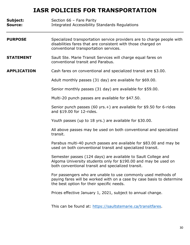| Subject:<br><b>Source:</b> | Section 66 - Fare Parity<br><b>Integrated Accessibility Standards Regulations</b>                                                                                                      |
|----------------------------|----------------------------------------------------------------------------------------------------------------------------------------------------------------------------------------|
| <b>PURPOSE</b>             | Specialized transportation service providers are to charge people with<br>disabilities fares that are consistent with those charged on<br>conventional transportation services.        |
| <b>STATEMENT</b>           | Sault Ste. Marie Transit Services will charge equal fares on<br>conventional transit and Parabus.                                                                                      |
| <b>APPLICATION</b>         | Cash fares on conventional and specialized transit are \$3.00.                                                                                                                         |
|                            | Adult monthly passes (31 day) are available for \$69.00.                                                                                                                               |
|                            | Senior monthly passes (31 day) are available for \$59.00.                                                                                                                              |
|                            | Multi-20 punch passes are available for \$47.50.                                                                                                                                       |
|                            | Senior punch passes (60 yrs. +) are available for $$9.50$ for 6-rides<br>and \$19.00 for 12-rides.                                                                                     |
|                            | Youth passes (up to 18 yrs.) are available for \$30.00.                                                                                                                                |
|                            | All above passes may be used on both conventional and specialized<br>transit.                                                                                                          |
|                            | Parabus multi-40 punch passes are available for \$83.00 and may be<br>used on both conventional transit and specialized transit.                                                       |
|                            | Semester passes (124 days) are available to Sault College and<br>Algoma University students only for \$190.00 and may be used on<br>both conventional transit and specialized transit. |
|                            | For passengers who are unable to use commonly used methods of<br>paying fares will be worked with on a case by case basis to determine<br>the best option for their specific needs.    |
|                            | Prices effective January 1, 2021, subject to annual change.                                                                                                                            |
|                            | This can be found at: https://saultstemarie.ca/transitfares.                                                                                                                           |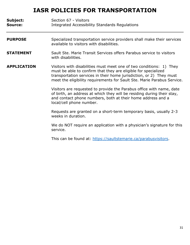| Subject:<br><b>Source:</b> | Section 67 - Visitors<br><b>Integrated Accessibility Standards Regulations</b>                                                                                                                                                                                                          |
|----------------------------|-----------------------------------------------------------------------------------------------------------------------------------------------------------------------------------------------------------------------------------------------------------------------------------------|
| <b>PURPOSE</b>             | Specialized transportation service providers shall make their services<br>available to visitors with disabilities.                                                                                                                                                                      |
| <b>STATEMENT</b>           | Sault Ste. Marie Transit Services offers Parabus service to visitors<br>with disabilities.                                                                                                                                                                                              |
| <b>APPLICATION</b>         | Visitors with disabilities must meet one of two conditions: 1) They<br>must be able to confirm that they are eligible for specialized<br>transportation services in their home jurisdiction, or 2) They must<br>meet the eligibility requirements for Sault Ste. Marie Parabus Service. |
|                            | Visitors are requested to provide the Parabus office with name, date<br>of birth, an address at which they will be residing during their stay,<br>and contact phone numbers, both at their home address and a<br>local/cell phone number.                                               |
|                            | Requests are granted on a short-term temporary basis, usually 2-3<br>weeks in duration.                                                                                                                                                                                                 |
|                            | We do NOT require an application with a physician's signature for this<br>service.                                                                                                                                                                                                      |

This can be found at: [https://saultstemarie.ca/parabusvisitors.](https://saultstemarie.ca/parabusvisitors)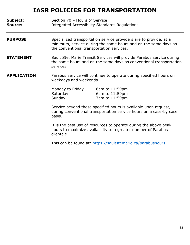| Subject:<br>Source: | Section 70 - Hours of Service                                                                                                                                                    | Integrated Accessibility Standards Regulations                                                                                              |
|---------------------|----------------------------------------------------------------------------------------------------------------------------------------------------------------------------------|---------------------------------------------------------------------------------------------------------------------------------------------|
| <b>PURPOSE</b>      | Specialized transportation service providers are to provide, at a<br>minimum, service during the same hours and on the same days as<br>the conventional transportation services. |                                                                                                                                             |
| <b>STATEMENT</b>    | services.                                                                                                                                                                        | Sault Ste. Marie Transit Services will provide Parabus service during<br>the same hours and on the same days as conventional transportation |
| <b>APPLICATION</b>  | Parabus service will continue to operate during specified hours on<br>weekdays and weekends.                                                                                     |                                                                                                                                             |
|                     | Monday to Friday<br>Saturday<br>Sunday                                                                                                                                           | 6am to $11:59$ pm<br>6am to 11:59pm<br>7am to 11:59pm                                                                                       |
|                     | Service beyond these specified hours is available upon request,<br>during conventional transportation service hours on a case-by case<br>basis.                                  |                                                                                                                                             |
|                     | It is the best use of resources to operate during the above peak<br>hours to maximize availability to a greater number of Parabus<br>clientele.                                  |                                                                                                                                             |
|                     |                                                                                                                                                                                  | This can be found at: https://saultstemarie.ca/parabushours.                                                                                |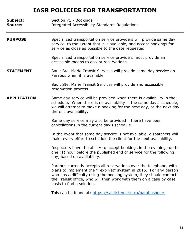| Subject:<br><b>Source:</b> | Section 71 - Bookings<br><b>Integrated Accessibility Standards Regulations</b>                                                                                                                                                                                                      |
|----------------------------|-------------------------------------------------------------------------------------------------------------------------------------------------------------------------------------------------------------------------------------------------------------------------------------|
| <b>PURPOSE</b>             | Specialized transportation service providers will provide same day<br>service, to the extent that it is available, and accept bookings for<br>service as close as possible to the date requested.                                                                                   |
|                            | Specialized transportation service providers must provide an<br>accessible means to accept reservations.                                                                                                                                                                            |
| <b>STATEMENT</b>           | Sault Ste. Marie Transit Services will provide same day service on<br>Parabus when it is available.                                                                                                                                                                                 |
|                            | Sault Ste. Marie Transit Services will provide and accessible<br>reservation process.                                                                                                                                                                                               |
| <b>APPLICATION</b>         | Same day service will be provided when there is availability in the<br>schedule. When there is no availability in the same day's schedule,<br>we will attempt to make a booking for the next day, or the next day<br>there is availability.                                         |
|                            | Same day service may also be provided if there have been<br>cancellations in the current day's schedule.                                                                                                                                                                            |
|                            | In the event that same day service is not available, dispatchers will<br>make every effort to schedule the client for the next availability.                                                                                                                                        |
|                            | Inspectors have the ability to accept bookings in the evenings up to<br>one (1) hour before the published end of service for the following<br>day, based on availability.                                                                                                           |
|                            | Parabus currently accepts all reservations over the telephone, with<br>plans to implement the "Text-Net" system in 2015. For any person<br>who has a difficulty using the booking system, they should contact<br>the Transit office, who will then work with them on a case by case |

basis to find a solution.

This can be found at: [https://saultstemarie.ca/parabushours.](https://saultstemarie.ca/parabushours)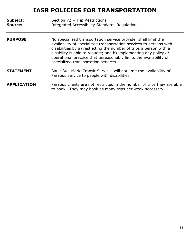| Subject:<br>Source: | Section 72 - Trip Restrictions<br><b>Integrated Accessibility Standards Regulations</b>                                                                                                                                                                                                                                                                                                      |
|---------------------|----------------------------------------------------------------------------------------------------------------------------------------------------------------------------------------------------------------------------------------------------------------------------------------------------------------------------------------------------------------------------------------------|
| <b>PURPOSE</b>      | No specialized transportation service provider shall limit the<br>availability of specialized transportation services to persons with<br>disabilities by a) restricting the number of trips a person with a<br>disability is able to request; and b) implementing any policy or<br>operational practice that unreasonably limits the availability of<br>specialized transportation services. |
| <b>STATEMENT</b>    | Sault Ste. Marie Transit Services will not limit the availability of<br>Parabus service to people with disabilities.                                                                                                                                                                                                                                                                         |
| <b>APPLICATION</b>  | Parabus clients are not restricted in the number of trips they are able<br>to book. They may book as many trips per week necessary.                                                                                                                                                                                                                                                          |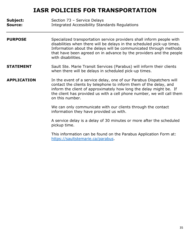| Subject:<br><b>Source:</b> | Section 73 - Service Delays<br>Integrated Accessibility Standards Regulations                                                                                                                                                                                                                                     |
|----------------------------|-------------------------------------------------------------------------------------------------------------------------------------------------------------------------------------------------------------------------------------------------------------------------------------------------------------------|
| <b>PURPOSE</b>             | Specialized transportation service providers shall inform people with<br>disabilities when there will be delays in the scheduled pick-up times.<br>Information about the delays will be communicated through methods<br>that have been agreed on in advance by the providers and the people<br>with disabilities. |
| <b>STATEMENT</b>           | Sault Ste. Marie Transit Services (Parabus) will inform their clients<br>when there will be delays in scheduled pick-up times.                                                                                                                                                                                    |
| <b>APPLICATION</b>         | In the event of a service delay, one of our Parabus Dispatchers will<br>contact the clients by telephone to inform them of the delay, and<br>inform the client of approximately how long the delay might be. If<br>the client has provided us with a cell phone number, we will call them<br>on this number.      |
|                            | We can only communicate with our clients through the contact<br>information they have provided us with.                                                                                                                                                                                                           |
|                            | A service delay is a delay of 30 minutes or more after the scheduled<br>pickup time.                                                                                                                                                                                                                              |
|                            | This information can be found on the Parabus Application Form at:<br>https://saultstemarie.ca/parabus.                                                                                                                                                                                                            |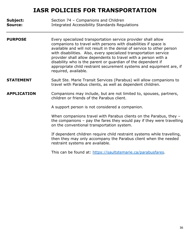**Subject:** Section 74 – Companions and Children **Source:** Integrated Accessibility Standards Regulations

- **PURPOSE** Every specialized transportation service provider shall allow companions to travel with persons with disabilities if space is available and will not result in the denial of service to other person with disabilities. Also, every specialized transportation service provider shall allow dependents to travel with a person with a disability who is the parent or guardian of the dependent if appropriate child restraint securement systems and equipment are, if required, available.
- **STATEMENT** Sault Ste. Marie Transit Services (Parabus) will allow companions to travel with Parabus clients, as well as dependent children.

#### **APPLICATION** Companions may include, but are not limited to, spouses, partners, children or friends of the Parabus client.

A support person is not considered a companion.

When companions travel with Parabus clients on the Parabus, they the companions – pay the fares they would pay if they were travelling on the conventional transportation system.

If dependent children require child restraint systems while travelling, then they may only accompany the Parabus client when the needed restraint systems are available.

This can be found at: [https://saultstemarie.ca/parabusfares.](https://saultstemarie.ca/parabusfares)